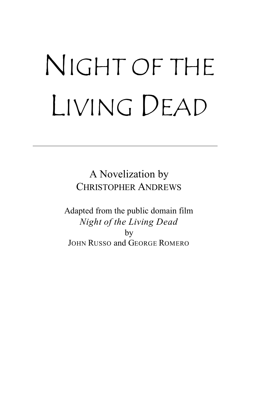## NIGHT OF THE LIVING DEAD

A Novelization by CHRISTOPHER ANDREWS

Adapted from the public domain film *Night of the Living Dead* by JOHN RUSSO and GEORGE ROMERO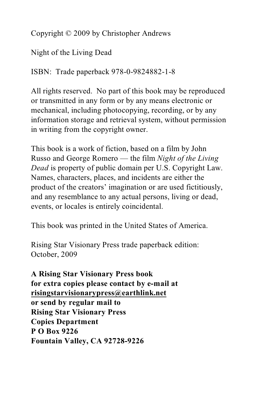Copyright © 2009 by Christopher Andrews

Night of the Living Dead

ISBN: Trade paperback 978-0-9824882-1-8

All rights reserved. No part of this book may be reproduced or transmitted in any form or by any means electronic or mechanical, including photocopying, recording, or by any information storage and retrieval system, without permission in writing from the copyright owner.

This book is a work of fiction, based on a film by John Russo and George Romero — the film *Night of the Living Dead* is property of public domain per U.S. Copyright Law. Names, characters, places, and incidents are either the product of the creators' imagination or are used fictitiously, and any resemblance to any actual persons, living or dead, events, or locales is entirely coincidental.

This book was printed in the United States of America.

Rising Star Visionary Press trade paperback edition: October, 2009

**A Rising Star Visionary Press book for extra copies please contact by e-mail at risingstarvisionarypress@earthlink.net or send by regular mail to Rising Star Visionary Press Copies Department P O Box 9226 Fountain Valley, CA 92728-9226**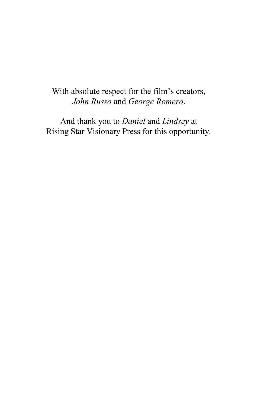With absolute respect for the film's creators, *John Russo* and *George Romero*.

And thank you to *Daniel* and *Lindsey* at Rising Star Visionary Press for this opportunity.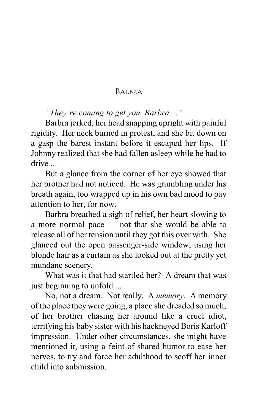## BARBRA

*"They're coming to get you, Barbra ..."*

Barbra jerked, her head snapping upright with painful rigidity. Her neck burned in protest, and she bit down on a gasp the barest instant before it escaped her lips. If Johnny realized that she had fallen asleep while he had to drive ...

But a glance from the corner of her eye showed that her brother had not noticed. He was grumbling under his breath again, too wrapped up in his own bad mood to pay attention to her, for now.

Barbra breathed a sigh of relief, her heart slowing to a more normal pace — not that she would be able to release all of her tension until they got this over with. She glanced out the open passenger-side window, using her blonde hair as a curtain as she looked out at the pretty yet mundane scenery.

What was it that had startled her? A dream that was just beginning to unfold ...

No, not a dream. Not really. A *memory*. A memory of the place they were going, a place she dreaded so much, of her brother chasing her around like a cruel idiot, terrifying his baby sister with his hackneyed Boris Karloff impression. Under other circumstances, she might have mentioned it, using a feint of shared humor to ease her nerves, to try and force her adulthood to scoff her inner child into submission.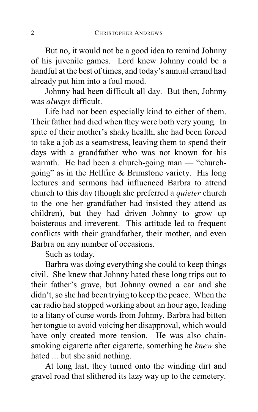But no, it would not be a good idea to remind Johnny of his juvenile games. Lord knew Johnny could be a handful at the best of times, and today's annual errand had already put him into a foul mood.

Johnny had been difficult all day. But then, Johnny was *always* difficult.

Life had not been especially kind to either of them. Their father had died when they were both very young. In spite of their mother's shaky health, she had been forced to take a job as a seamstress, leaving them to spend their days with a grandfather who was not known for his warmth. He had been a church-going man — "churchgoing" as in the Hellfire & Brimstone variety. His long lectures and sermons had influenced Barbra to attend church to this day (though she preferred a *quieter* church to the one her grandfather had insisted they attend as children), but they had driven Johnny to grow up boisterous and irreverent. This attitude led to frequent conflicts with their grandfather, their mother, and even Barbra on any number of occasions.

Such as today.

Barbra was doing everything she could to keep things civil. She knew that Johnny hated these long trips out to their father's grave, but Johnny owned a car and she didn't, so she had been trying to keep the peace. When the car radio had stopped working about an hour ago, leading to a litany of curse words from Johnny, Barbra had bitten her tongue to avoid voicing her disapproval, which would have only created more tension. He was also chainsmoking cigarette after cigarette, something he *knew* she hated ... but she said nothing.

At long last, they turned onto the winding dirt and gravel road that slithered its lazy way up to the cemetery.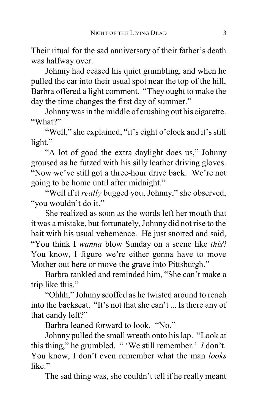Their ritual for the sad anniversary of their father's death was halfway over.

Johnny had ceased his quiet grumbling, and when he pulled the car into their usual spot near the top of the hill, Barbra offered a light comment. "They ought to make the day the time changes the first day of summer."

Johnny was in the middle of crushing out his cigarette. "What?"

"Well," she explained, "it's eight o'clock and it's still light."

"A lot of good the extra daylight does us," Johnny groused as he futzed with his silly leather driving gloves. "Now we've still got a three-hour drive back. We're not going to be home until after midnight."

"Well if it *really* bugged you, Johnny," she observed, "you wouldn't do it."

She realized as soon as the words left her mouth that it was a mistake, but fortunately, Johnny did not rise to the bait with his usual vehemence. He just snorted and said, "You think I *wanna* blow Sunday on a scene like *this*? You know, I figure we're either gonna have to move Mother out here or move the grave into Pittsburgh."

Barbra rankled and reminded him, "She can't make a trip like this."

"Ohhh," Johnny scoffed as he twisted around to reach into the backseat. "It's not that she can't ... Is there any of that candy left?"

Barbra leaned forward to look. "No."

Johnny pulled the small wreath onto his lap. "Look at this thing," he grumbled. " 'We still remember.' *I* don't. You know, I don't even remember what the man *looks* like."

The sad thing was, she couldn't tell if he really meant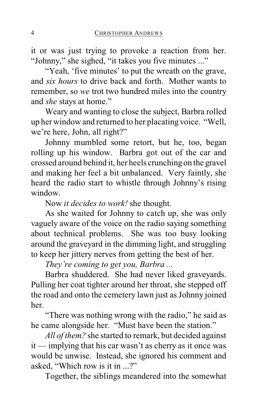it or was just trying to provoke a reaction from her. "Johnny," she sighed, "it takes you five minutes ..."

"Yeah, 'five minutes' to put the wreath on the grave, and *six hours* to drive back and forth. Mother wants to remember, so *we* trot two hundred miles into the country and *she* stays at home."

Weary and wanting to close the subject, Barbra rolled up her window and returned to her placating voice. "Well, we're here, John, all right?"

Johnny mumbled some retort, but he, too, began rolling up his window. Barbra got out of the car and crossed around behind it, her heels crunching on the gravel and making her feel a bit unbalanced. Very faintly, she heard the radio start to whistle through Johnny's rising window.

Now *it decides to work!* she thought.

As she waited for Johnny to catch up, she was only vaguely aware of the voice on the radio saying something about technical problems. She was too busy looking around the graveyard in the dimming light, and struggling to keep her jittery nerves from getting the best of her.

*They're coming to get you, Barbra ...*

Barbra shuddered. She had never liked graveyards. Pulling her coat tighter around her throat, she stepped off the road and onto the cemetery lawn just as Johnny joined her.

"There was nothing wrong with the radio," he said as he came alongside her. "Must have been the station."

*All of them?* she started to remark, but decided against it — implying that his car wasn't as cherry as it once was would be unwise. Instead, she ignored his comment and asked, "Which row is it in ...?"

Together, the siblings meandered into the somewhat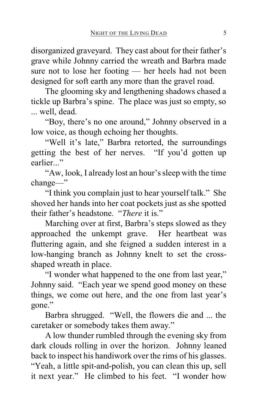disorganized graveyard. They cast about for their father's grave while Johnny carried the wreath and Barbra made sure not to lose her footing — her heels had not been designed for soft earth any more than the gravel road.

The glooming sky and lengthening shadows chased a tickle up Barbra's spine. The place was just so empty, so ... well, dead.

"Boy, there's no one around," Johnny observed in a low voice, as though echoing her thoughts.

"Well it's late," Barbra retorted, the surroundings getting the best of her nerves. "If you'd gotten up earlier..."

"Aw, look, I already lost an hour'ssleep with the time change—"

"I think you complain just to hear yourself talk." She shoved her hands into her coat pockets just as she spotted their father's headstone. "*There* it is."

Marching over at first, Barbra's steps slowed as they approached the unkempt grave. Her heartbeat was fluttering again, and she feigned a sudden interest in a low-hanging branch as Johnny knelt to set the crossshaped wreath in place.

"I wonder what happened to the one from last year," Johnny said. "Each year we spend good money on these things, we come out here, and the one from last year's gone."

Barbra shrugged. "Well, the flowers die and ... the caretaker or somebody takes them away."

A low thunder rumbled through the evening sky from dark clouds rolling in over the horizon. Johnny leaned back to inspect his handiwork over the rims of his glasses. "Yeah, a little spit-and-polish, you can clean this up, sell it next year." He climbed to his feet. "I wonder how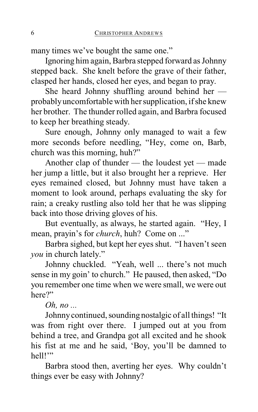many times we've bought the same one."

Ignoring him again, Barbra stepped forward as Johnny stepped back. She knelt before the grave of their father, clasped her hands, closed her eyes, and began to pray.

She heard Johnny shuffling around behind her probably uncomfortable with her supplication, if she knew her brother. The thunder rolled again, and Barbra focused to keep her breathing steady.

Sure enough, Johnny only managed to wait a few more seconds before needling, "Hey, come on, Barb, church was this morning, huh?"

Another clap of thunder — the loudest yet — made her jump a little, but it also brought her a reprieve. Her eyes remained closed, but Johnny must have taken a moment to look around, perhaps evaluating the sky for rain; a creaky rustling also told her that he was slipping back into those driving gloves of his.

But eventually, as always, he started again. "Hey, I mean, prayin's for *church*, huh? Come on ..."

Barbra sighed, but kept her eyes shut. "I haven't seen *you* in church lately."

Johnny chuckled. "Yeah, well ... there's not much sense in my goin' to church." He paused, then asked, "Do you remember one time when we were small, we were out here?"

*Oh, no ...*

Johnny continued, sounding nostalgic of all things! "It was from right over there. I jumped out at you from behind a tree, and Grandpa got all excited and he shook his fist at me and he said, 'Boy, you'll be damned to hell!"

Barbra stood then, averting her eyes. Why couldn't things ever be easy with Johnny?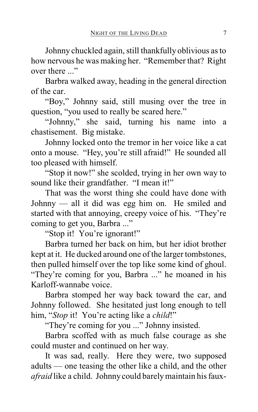Johnny chuckled again, still thankfully oblivious as to how nervous he was making her. "Remember that? Right over there ..."

Barbra walked away, heading in the general direction of the car.

"Boy," Johnny said, still musing over the tree in question, "you used to really be scared here."

"Johnny," she said, turning his name into a chastisement. Big mistake.

Johnny locked onto the tremor in her voice like a cat onto a mouse. "Hey, you're still afraid!" He sounded all too pleased with himself.

"Stop it now!" she scolded, trying in her own way to sound like their grandfather. "I mean it!"

That was the worst thing she could have done with Johnny — all it did was egg him on. He smiled and started with that annoying, creepy voice of his. "They're coming to get you, Barbra ..."

"Stop it! You're ignorant!"

Barbra turned her back on him, but her idiot brother kept at it. He ducked around one of the larger tombstones, then pulled himself over the top like some kind of ghoul. "They're coming for you, Barbra ..." he moaned in his Karloff-wannabe voice.

Barbra stomped her way back toward the car, and Johnny followed. She hesitated just long enough to tell him, "*Stop* it! You're acting like a *child*!"

"They're coming for you ..." Johnny insisted.

Barbra scoffed with as much false courage as she could muster and continued on her way.

It was sad, really. Here they were, two supposed adults — one teasing the other like a child, and the other *afraid* like a child. Johnny could barely maintain his faux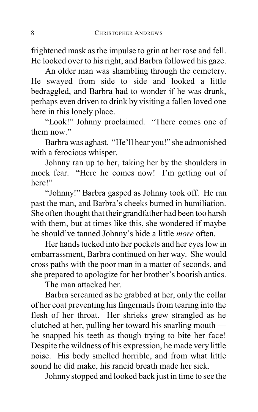frightened mask as the impulse to grin at her rose and fell. He looked over to his right, and Barbra followed his gaze.

An older man was shambling through the cemetery. He swayed from side to side and looked a little bedraggled, and Barbra had to wonder if he was drunk, perhaps even driven to drink by visiting a fallen loved one here in this lonely place.

"Look!" Johnny proclaimed. "There comes one of them now."

Barbra was aghast. "He'll hear you!" she admonished with a ferocious whisper.

Johnny ran up to her, taking her by the shoulders in mock fear. "Here he comes now! I'm getting out of here!"

"Johnny!" Barbra gasped as Johnny took off. He ran past the man, and Barbra's cheeks burned in humiliation. She often thought that their grandfather had been too harsh with them, but at times like this, she wondered if maybe he should've tanned Johnny's hide a little *more* often.

Her hands tucked into her pockets and her eyes low in embarrassment, Barbra continued on her way. She would cross paths with the poor man in a matter of seconds, and she prepared to apologize for her brother's boorish antics.

The man attacked her.

Barbra screamed as he grabbed at her, only the collar of her coat preventing his fingernails from tearing into the flesh of her throat. Her shrieks grew strangled as he clutched at her, pulling her toward his snarling mouth he snapped his teeth as though trying to bite her face! Despite the wildness of his expression, he made very little noise. His body smelled horrible, and from what little sound he did make, his rancid breath made her sick.

Johnny stopped and looked back just in time to see the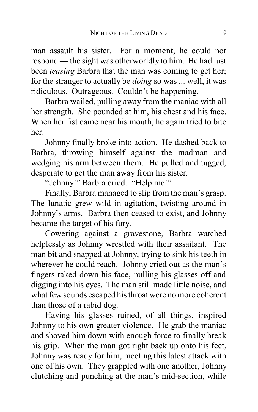man assault his sister. For a moment, he could not respond — the sight was otherworldly to him. He had just been *teasing* Barbra that the man was coming to get her; for the stranger to actually be *doing* so was ... well, it was ridiculous. Outrageous. Couldn't be happening.

Barbra wailed, pulling away from the maniac with all her strength. She pounded at him, his chest and his face. When her fist came near his mouth, he again tried to bite her.

Johnny finally broke into action. He dashed back to Barbra, throwing himself against the madman and wedging his arm between them. He pulled and tugged, desperate to get the man away from his sister.

"Johnny!" Barbra cried. "Help me!"

Finally, Barbra managed to slip from the man's grasp. The lunatic grew wild in agitation, twisting around in Johnny's arms. Barbra then ceased to exist, and Johnny became the target of his fury.

Cowering against a gravestone, Barbra watched helplessly as Johnny wrestled with their assailant. The man bit and snapped at Johnny, trying to sink his teeth in wherever he could reach. Johnny cried out as the man's fingers raked down his face, pulling his glasses off and digging into his eyes. The man still made little noise, and what few sounds escaped his throat were no more coherent than those of a rabid dog.

Having his glasses ruined, of all things, inspired Johnny to his own greater violence. He grab the maniac and shoved him down with enough force to finally break his grip. When the man got right back up onto his feet, Johnny was ready for him, meeting this latest attack with one of his own. They grappled with one another, Johnny clutching and punching at the man's mid-section, while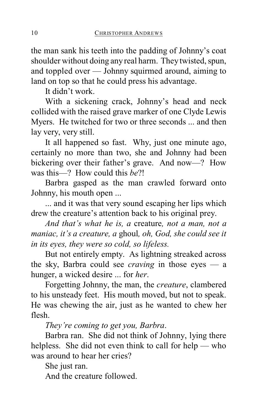the man sank his teeth into the padding of Johnny's coat shoulder without doing any real harm. They twisted, spun, and toppled over — Johnny squirmed around, aiming to land on top so that he could press his advantage.

It didn't work.

With a sickening crack, Johnny's head and neck collided with the raised grave marker of one Clyde Lewis Myers. He twitched for two or three seconds ... and then lay very, very still.

It all happened so fast. Why, just one minute ago, certainly no more than two, she and Johnny had been bickering over their father's grave. And now—? How was this—? How could this *be*?!

Barbra gasped as the man crawled forward onto Johnny, his mouth open ...

... and it was that very sound escaping her lips which drew the creature's attention back to his original prey.

*And that's what he is, a* creature*, not a man, not a maniac, it's a creature, a* ghoul*, oh, God, she could see it in its eyes, they were so cold, so lifeless.*

But not entirely empty. As lightning streaked across the sky, Barbra could see *craving* in those eyes — a hunger, a wicked desire ... for *her*.

Forgetting Johnny, the man, the *creature*, clambered to his unsteady feet. His mouth moved, but not to speak. He was chewing the air, just as he wanted to chew her flesh.

*They're coming to get you, Barbra*.

Barbra ran. She did not think of Johnny, lying there helpless. She did not even think to call for help — who was around to hear her cries?

She just ran.

And the creature followed.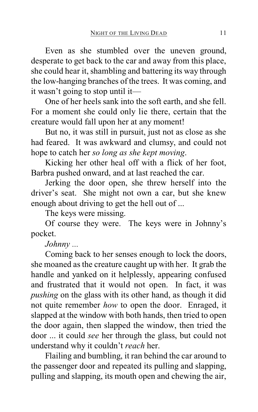Even as she stumbled over the uneven ground, desperate to get back to the car and away from this place, she could hear it, shambling and battering its way through the low-hanging branches of the trees. It was coming, and it wasn't going to stop until it—

One of her heels sank into the soft earth, and she fell. For a moment she could only lie there, certain that the creature would fall upon her at any moment!

But no, it was still in pursuit, just not as close as she had feared. It was awkward and clumsy, and could not hope to catch her *so long as she kept moving*.

Kicking her other heal off with a flick of her foot, Barbra pushed onward, and at last reached the car.

Jerking the door open, she threw herself into the driver's seat. She might not own a car, but she knew enough about driving to get the hell out of ...

The keys were missing.

Of course they were. The keys were in Johnny's pocket.

*Johnny ...*

Coming back to her senses enough to lock the doors, she moaned as the creature caught up with her. It grab the handle and yanked on it helplessly, appearing confused and frustrated that it would not open. In fact, it was *pushing* on the glass with its other hand, as though it did not quite remember *how* to open the door. Enraged, it slapped at the window with both hands, then tried to open the door again, then slapped the window, then tried the door ... it could *see* her through the glass, but could not understand why it couldn't *reach* her.

Flailing and bumbling, it ran behind the car around to the passenger door and repeated its pulling and slapping, pulling and slapping, its mouth open and chewing the air,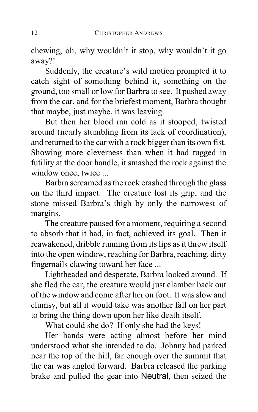chewing, oh, why wouldn't it stop, why wouldn't it go away?!

Suddenly, the creature's wild motion prompted it to catch sight of something behind it, something on the ground, too small or low for Barbra to see. It pushed away from the car, and for the briefest moment, Barbra thought that maybe, just maybe, it was leaving.

But then her blood ran cold as it stooped, twisted around (nearly stumbling from its lack of coordination), and returned to the car with a rock bigger than its own fist. Showing more cleverness than when it had tugged in futility at the door handle, it smashed the rock against the window once, twice ...

Barbra screamed as the rock crashed through the glass on the third impact. The creature lost its grip, and the stone missed Barbra's thigh by only the narrowest of margins.

The creature paused for a moment, requiring a second to absorb that it had, in fact, achieved its goal. Then it reawakened, dribble running from itslips as it threw itself into the open window, reaching for Barbra, reaching, dirty fingernails clawing toward her face ...

Lightheaded and desperate, Barbra looked around. If she fled the car, the creature would just clamber back out of the window and come after her on foot. It was slow and clumsy, but all it would take was another fall on her part to bring the thing down upon her like death itself.

What could she do? If only she had the keys!

Her hands were acting almost before her mind understood what she intended to do. Johnny had parked near the top of the hill, far enough over the summit that the car was angled forward. Barbra released the parking brake and pulled the gear into Neutral, then seized the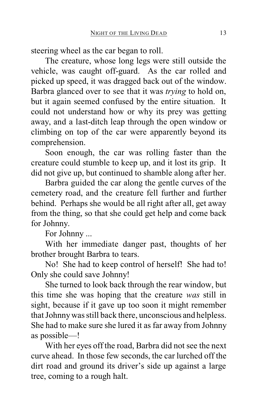steering wheel as the car began to roll.

The creature, whose long legs were still outside the vehicle, was caught off-guard. As the car rolled and picked up speed, it was dragged back out of the window. Barbra glanced over to see that it was *trying* to hold on, but it again seemed confused by the entire situation. It could not understand how or why its prey was getting away, and a last-ditch leap through the open window or climbing on top of the car were apparently beyond its comprehension.

Soon enough, the car was rolling faster than the creature could stumble to keep up, and it lost its grip. It did not give up, but continued to shamble along after her.

Barbra guided the car along the gentle curves of the cemetery road, and the creature fell further and further behind. Perhaps she would be all right after all, get away from the thing, so that she could get help and come back for Johnny.

For Johnny ...

With her immediate danger past, thoughts of her brother brought Barbra to tears.

No! She had to keep control of herself! She had to! Only she could save Johnny!

She turned to look back through the rear window, but this time she was hoping that the creature *was* still in sight, because if it gave up too soon it might remember that Johnnywas still back there, unconscious and helpless. She had to make sure she lured it as far away from Johnny as possible—!

With her eyes off the road, Barbra did not see the next curve ahead. In those few seconds, the car lurched off the dirt road and ground its driver's side up against a large tree, coming to a rough halt.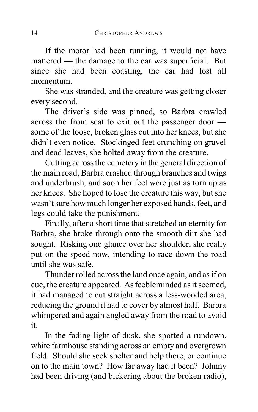If the motor had been running, it would not have mattered — the damage to the car was superficial. But since she had been coasting, the car had lost all momentum.

She was stranded, and the creature was getting closer every second.

The driver's side was pinned, so Barbra crawled across the front seat to exit out the passenger door some of the loose, broken glass cut into her knees, but she didn't even notice. Stockinged feet crunching on gravel and dead leaves, she bolted away from the creature.

Cutting across the cemetery in the general direction of the main road, Barbra crashed through branches and twigs and underbrush, and soon her feet were just as torn up as her knees. She hoped to lose the creature this way, but she wasn't sure how much longer her exposed hands, feet, and legs could take the punishment.

Finally, after a short time that stretched an eternity for Barbra, she broke through onto the smooth dirt she had sought. Risking one glance over her shoulder, she really put on the speed now, intending to race down the road until she was safe.

Thunder rolled acrossthe land once again, and as if on cue, the creature appeared. As feebleminded as it seemed, it had managed to cut straight across a less-wooded area, reducing the ground it had to cover by almost half. Barbra whimpered and again angled away from the road to avoid it.

In the fading light of dusk, she spotted a rundown, white farmhouse standing across an empty and overgrown field. Should she seek shelter and help there, or continue on to the main town? How far away had it been? Johnny had been driving (and bickering about the broken radio),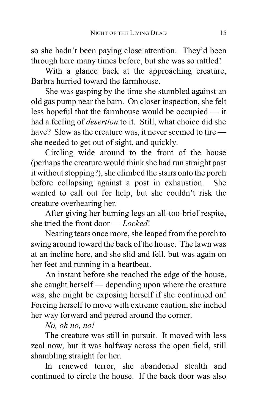so she hadn't been paying close attention. They'd been through here many times before, but she was so rattled!

With a glance back at the approaching creature, Barbra hurried toward the farmhouse.

She was gasping by the time she stumbled against an old gas pump near the barn. On closer inspection, she felt less hopeful that the farmhouse would be occupied — it had a feeling of *desertion* to it. Still, what choice did she have? Slow as the creature was, it never seemed to tire she needed to get out of sight, and quickly.

Circling wide around to the front of the house (perhaps the creature would think she had run straight past it without stopping?), she climbed the stairs onto the porch before collapsing against a post in exhaustion. She wanted to call out for help, but she couldn't risk the creature overhearing her.

After giving her burning legs an all-too-brief respite, she tried the front door — *Locked*!

Nearing tears once more, she leaped from the porch to swing around toward the back of the house. The lawn was at an incline here, and she slid and fell, but was again on her feet and running in a heartbeat.

An instant before she reached the edge of the house, she caught herself — depending upon where the creature was, she might be exposing herself if she continued on! Forcing herself to move with extreme caution, she inched her way forward and peered around the corner.

*No, oh no, no!*

The creature was still in pursuit. It moved with less zeal now, but it was halfway across the open field, still shambling straight for her.

In renewed terror, she abandoned stealth and continued to circle the house. If the back door was also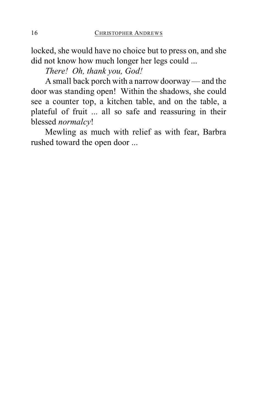locked, she would have no choice but to press on, and she did not know how much longer her legs could ...

*There! Oh, thank you, God!*

A small back porch with a narrow doorway — and the door was standing open! Within the shadows, she could see a counter top, a kitchen table, and on the table, a plateful of fruit ... all so safe and reassuring in their blessed *normalcy*!

Mewling as much with relief as with fear, Barbra rushed toward the open door ...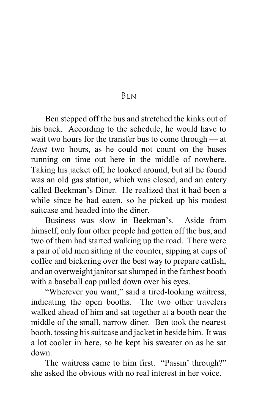## BEN

Ben stepped off the bus and stretched the kinks out of his back. According to the schedule, he would have to wait two hours for the transfer bus to come through — at *least* two hours, as he could not count on the buses running on time out here in the middle of nowhere. Taking his jacket off, he looked around, but all he found was an old gas station, which was closed, and an eatery called Beekman's Diner. He realized that it had been a while since he had eaten, so he picked up his modest suitcase and headed into the diner.

Business was slow in Beekman's. Aside from himself, only four other people had gotten off the bus, and two of them had started walking up the road. There were a pair of old men sitting at the counter, sipping at cups of coffee and bickering over the best way to prepare catfish, and an overweight janitor sat slumped in the farthest booth with a baseball cap pulled down over his eyes.

"Wherever you want," said a tired-looking waitress, indicating the open booths. The two other travelers walked ahead of him and sat together at a booth near the middle of the small, narrow diner. Ben took the nearest booth, tossing his suitcase and jacket in beside him. It was a lot cooler in here, so he kept his sweater on as he sat down.

The waitress came to him first. "Passin' through?" she asked the obvious with no real interest in her voice.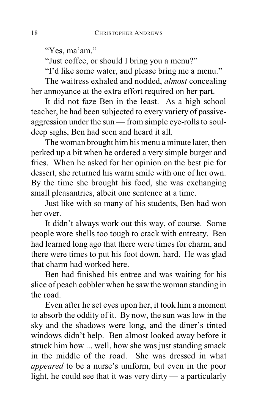"Yes, ma'am."

"Just coffee, or should I bring you a menu?"

"I'd like some water, and please bring me a menu."

The waitress exhaled and nodded, *almost* concealing her annoyance at the extra effort required on her part.

It did not faze Ben in the least. As a high school teacher, he had been subjected to every variety of passiveaggression under the sun — from simple eye-rollsto souldeep sighs, Ben had seen and heard it all.

The woman brought him his menu a minute later, then perked up a bit when he ordered a very simple burger and fries. When he asked for her opinion on the best pie for dessert, she returned his warm smile with one of her own. By the time she brought his food, she was exchanging small pleasantries, albeit one sentence at a time.

Just like with so many of his students, Ben had won her over.

It didn't always work out this way, of course. Some people wore shells too tough to crack with entreaty. Ben had learned long ago that there were times for charm, and there were times to put his foot down, hard. He was glad that charm had worked here.

Ben had finished his entree and was waiting for his slice of peach cobbler when he saw the woman standing in the road.

Even after he set eyes upon her, it took him a moment to absorb the oddity of it. By now, the sun was low in the sky and the shadows were long, and the diner's tinted windows didn't help. Ben almost looked away before it struck him how ... well, how she was just standing smack in the middle of the road. She was dressed in what *appeared* to be a nurse's uniform, but even in the poor light, he could see that it was very dirty — a particularly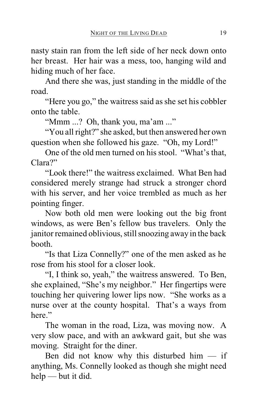nasty stain ran from the left side of her neck down onto her breast. Her hair was a mess, too, hanging wild and hiding much of her face.

And there she was, just standing in the middle of the road.

"Here you go," the waitress said as she set his cobbler onto the table.

"Mmm ...? Oh, thank you, ma'am ..."

"You all right?" she asked, but then answered her own question when she followed his gaze. "Oh, my Lord!"

One of the old men turned on his stool. "What's that, Clara?"

"Look there!" the waitress exclaimed. What Ben had considered merely strange had struck a stronger chord with his server, and her voice trembled as much as her pointing finger.

Now both old men were looking out the big front windows, as were Ben's fellow bus travelers. Only the janitor remained oblivious, still snoozing away in the back booth.

"Is that Liza Connelly?" one of the men asked as he rose from his stool for a closer look.

"I, I think so, yeah," the waitress answered. To Ben, she explained, "She's my neighbor." Her fingertips were touching her quivering lower lips now. "She works as a nurse over at the county hospital. That's a ways from here."

The woman in the road, Liza, was moving now. A very slow pace, and with an awkward gait, but she was moving. Straight for the diner.

Ben did not know why this disturbed him — if anything, Ms. Connelly looked as though she might need help — but it did.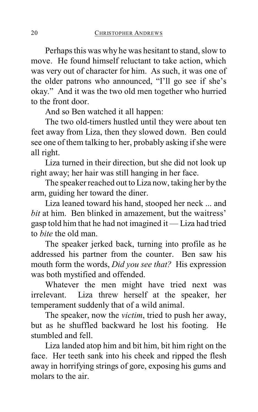Perhaps this was why he was hesitant to stand, slow to move. He found himself reluctant to take action, which was very out of character for him. As such, it was one of the older patrons who announced, "I'll go see if she's okay." And it was the two old men together who hurried to the front door.

And so Ben watched it all happen:

The two old-timers hustled until they were about ten feet away from Liza, then they slowed down. Ben could see one of them talking to her, probably asking if she were all right.

Liza turned in their direction, but she did not look up right away; her hair was still hanging in her face.

The speaker reached out to Liza now, taking her by the arm, guiding her toward the diner.

Liza leaned toward his hand, stooped her neck ... and *bit* at him. Ben blinked in amazement, but the waitress' gasp told him that he had not imagined it — Liza had tried to *bite* the old man.

The speaker jerked back, turning into profile as he addressed his partner from the counter. Ben saw his mouth form the words, *Did you see that?* His expression was both mystified and offended.

Whatever the men might have tried next was irrelevant. Liza threw herself at the speaker, her temperament suddenly that of a wild animal.

The speaker, now the *victim*, tried to push her away, but as he shuffled backward he lost his footing. He stumbled and fell.

Liza landed atop him and bit him, bit him right on the face. Her teeth sank into his cheek and ripped the flesh away in horrifying strings of gore, exposing his gums and molars to the air.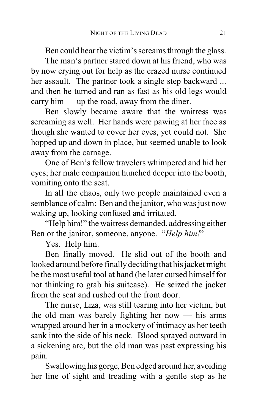Ben could hear the victim's screams through the glass.

The man's partner stared down at his friend, who was by now crying out for help as the crazed nurse continued her assault. The partner took a single step backward ... and then he turned and ran as fast as his old legs would carry him — up the road, away from the diner.

Ben slowly became aware that the waitress was screaming as well. Her hands were pawing at her face as though she wanted to cover her eyes, yet could not. She hopped up and down in place, but seemed unable to look away from the carnage.

One of Ben's fellow travelers whimpered and hid her eyes; her male companion hunched deeper into the booth, vomiting onto the seat.

In all the chaos, only two people maintained even a semblance of calm: Ben and the janitor, who was just now waking up, looking confused and irritated.

"Help him!" the waitress demanded, addressing either Ben or the janitor, someone, anyone. "*Help him!*"

Yes. Help him.

Ben finally moved. He slid out of the booth and looked around before finally deciding that his jacket might be the most useful tool at hand (he later cursed himself for not thinking to grab his suitcase). He seized the jacket from the seat and rushed out the front door.

The nurse, Liza, was still tearing into her victim, but the old man was barely fighting her now — his arms wrapped around her in a mockery of intimacy as her teeth sank into the side of his neck. Blood sprayed outward in a sickening arc, but the old man was past expressing his pain.

Swallowing his gorge, Ben edged around her, avoiding her line of sight and treading with a gentle step as he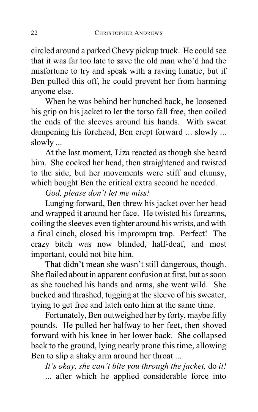circled around a parked Chevy pickup truck. He could see that it was far too late to save the old man who'd had the misfortune to try and speak with a raving lunatic, but if Ben pulled this off, he could prevent her from harming anyone else.

When he was behind her hunched back, he loosened his grip on his jacket to let the torso fall free, then coiled the ends of the sleeves around his hands. With sweat dampening his forehead, Ben crept forward ... slowly ... slowly ...

At the last moment, Liza reacted as though she heard him. She cocked her head, then straightened and twisted to the side, but her movements were stiff and clumsy, which bought Ben the critical extra second he needed.

*God, please don't let me miss!*

Lunging forward, Ben threw his jacket over her head and wrapped it around her face. He twisted his forearms, coiling the sleeves even tighter around his wrists, and with a final cinch, closed his impromptu trap. Perfect! The crazy bitch was now blinded, half-deaf, and most important, could not bite him.

That didn't mean she wasn't still dangerous, though. She flailed about in apparent confusion at first, but as soon as she touched his hands and arms, she went wild. She bucked and thrashed, tugging at the sleeve of his sweater, trying to get free and latch onto him at the same time.

Fortunately, Ben outweighed her by forty, maybe fifty pounds. He pulled her halfway to her feet, then shoved forward with his knee in her lower back. She collapsed back to the ground, lying nearly prone this time, allowing Ben to slip a shaky arm around her throat ...

*It's okay, she can't bite you through the jacket,* do *it!* ... after which he applied considerable force into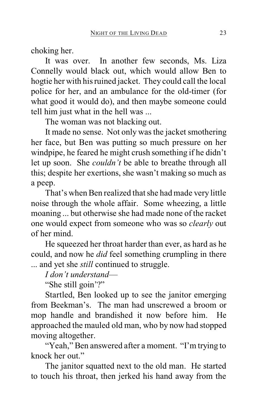choking her.

It was over. In another few seconds, Ms. Liza Connelly would black out, which would allow Ben to hogtie her with hisruined jacket. They could call the local police for her, and an ambulance for the old-timer (for what good it would do), and then maybe someone could tell him just what in the hell was ...

The woman was not blacking out.

It made no sense. Not only was the jacket smothering her face, but Ben was putting so much pressure on her windpipe, he feared he might crush something if he didn't let up soon. She *couldn't* be able to breathe through all this; despite her exertions, she wasn't making so much as a peep.

That's when Ben realized that she had made very little noise through the whole affair. Some wheezing, a little moaning ... but otherwise she had made none of the racket one would expect from someone who was so *clearly* out of her mind.

He squeezed her throat harder than ever, as hard as he could, and now he *did* feel something crumpling in there ... and yet she *still* continued to struggle.

*I don't understand*—

"She still goin'?"

Startled, Ben looked up to see the janitor emerging from Beekman's. The man had unscrewed a broom or mop handle and brandished it now before him. He approached the mauled old man, who by now had stopped moving altogether.

"Yeah," Ben answered after a moment. "I'm trying to knock her out."

The janitor squatted next to the old man. He started to touch his throat, then jerked his hand away from the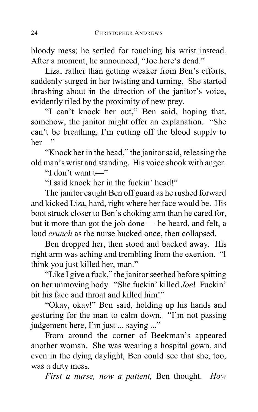bloody mess; he settled for touching his wrist instead. After a moment, he announced, "Joe here's dead."

Liza, rather than getting weaker from Ben's efforts, suddenly surged in her twisting and turning. She started thrashing about in the direction of the janitor's voice, evidently riled by the proximity of new prey.

"I can't knock her out," Ben said, hoping that, somehow, the janitor might offer an explanation. "She can't be breathing, I'm cutting off the blood supply to her—"

"Knock her in the head," the janitor said, releasing the old man's wrist and standing. His voice shook with anger.

"I don't want t—"

"I said knock her in the fuckin' head!"

The janitor caught Ben off guard as he rushed forward and kicked Liza, hard, right where her face would be. His boot struck closer to Ben's choking arm than he cared for, but it more than got the job done — he heard, and felt, a loud *crunch* as the nurse bucked once, then collapsed.

Ben dropped her, then stood and backed away. His right arm was aching and trembling from the exertion. "I think you just killed her, man."

"Like I give a fuck," the janitor seethed before spitting on her unmoving body. "She fuckin' killed *Joe*! Fuckin' bit his face and throat and killed him!"

"Okay, okay!" Ben said, holding up his hands and gesturing for the man to calm down. "I'm not passing judgement here, I'm just ... saying ..."

From around the corner of Beekman's appeared another woman. She was wearing a hospital gown, and even in the dying daylight, Ben could see that she, too, was a dirty mess.

*First a nurse, now a patient,* Ben thought. *How*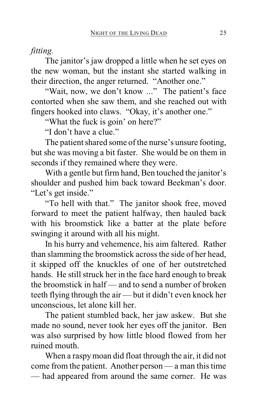*fitting.*

The janitor's jaw dropped a little when he set eyes on the new woman, but the instant she started walking in their direction, the anger returned. "Another one."

"Wait, now, we don't know ..." The patient's face contorted when she saw them, and she reached out with fingers hooked into claws. "Okay, it's another one."

"What the fuck is goin' on here?"

"I don't have a clue."

The patient shared some of the nurse's unsure footing, but she was moving a bit faster. She would be on them in seconds if they remained where they were.

With a gentle but firm hand, Ben touched the janitor's shoulder and pushed him back toward Beekman's door. "Let's get inside."

"To hell with that." The janitor shook free, moved forward to meet the patient halfway, then hauled back with his broomstick like a batter at the plate before swinging it around with all his might.

In his hurry and vehemence, his aim faltered. Rather than slamming the broomstick across the side of her head, it skipped off the knuckles of one of her outstretched hands. He still struck her in the face hard enough to break the broomstick in half — and to send a number of broken teeth flying through the air — but it didn't even knock her unconscious, let alone kill her.

The patient stumbled back, her jaw askew. But she made no sound, never took her eyes off the janitor. Ben was also surprised by how little blood flowed from her ruined mouth.

When a raspy moan did float through the air, it did not come from the patient. Another person — a man this time — had appeared from around the same corner. He was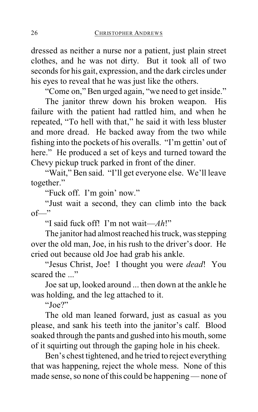dressed as neither a nurse nor a patient, just plain street clothes, and he was not dirty. But it took all of two seconds for his gait, expression, and the dark circles under his eyes to reveal that he was just like the others.

"Come on," Ben urged again, "we need to get inside."

The janitor threw down his broken weapon. His failure with the patient had rattled him, and when he repeated, "To hell with that," he said it with less bluster and more dread. He backed away from the two while fishing into the pockets of his overalls. "I'm gettin' out of here." He produced a set of keys and turned toward the Chevy pickup truck parked in front of the diner.

"Wait," Ben said. "I'll get everyone else. We'll leave together."

"Fuck off. I'm goin' now."

"Just wait a second, they can climb into the back  $of$ <sup>"</sup>

"I said fuck off! I'm not wait—*Ah*!"

The janitor had almost reached his truck, was stepping over the old man, Joe, in his rush to the driver's door. He cried out because old Joe had grab his ankle.

"Jesus Christ, Joe! I thought you were *dead*! You scared the ..."

Joe sat up, looked around ... then down at the ankle he was holding, and the leg attached to it.

"Joe?"

The old man leaned forward, just as casual as you please, and sank his teeth into the janitor's calf. Blood soaked through the pants and gushed into his mouth, some of it squirting out through the gaping hole in his cheek.

Ben's chest tightened, and he tried to reject everything that was happening, reject the whole mess. None of this made sense, so none of this could be happening— none of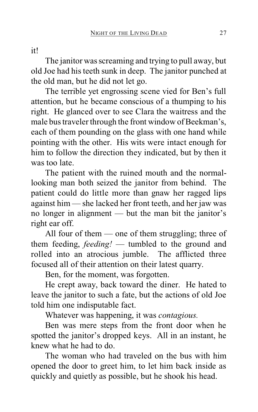it!

The janitor was screaming and trying to pull away, but old Joe had histeeth sunk in deep. The janitor punched at the old man, but he did not let go.

The terrible yet engrossing scene vied for Ben's full attention, but he became conscious of a thumping to his right. He glanced over to see Clara the waitress and the male bus traveler through the front window of Beekman's, each of them pounding on the glass with one hand while pointing with the other. His wits were intact enough for him to follow the direction they indicated, but by then it was too late.

The patient with the ruined mouth and the normallooking man both seized the janitor from behind. The patient could do little more than gnaw her ragged lips against him — she lacked her front teeth, and her jaw was no longer in alignment — but the man bit the janitor's right ear off.

All four of them — one of them struggling; three of them feeding, *feeding!* — tumbled to the ground and rolled into an atrocious jumble. The afflicted three focused all of their attention on their latest quarry.

Ben, for the moment, was forgotten.

He crept away, back toward the diner. He hated to leave the janitor to such a fate, but the actions of old Joe told him one indisputable fact.

Whatever was happening, it was *contagious.*

Ben was mere steps from the front door when he spotted the janitor's dropped keys. All in an instant, he knew what he had to do.

The woman who had traveled on the bus with him opened the door to greet him, to let him back inside as quickly and quietly as possible, but he shook his head.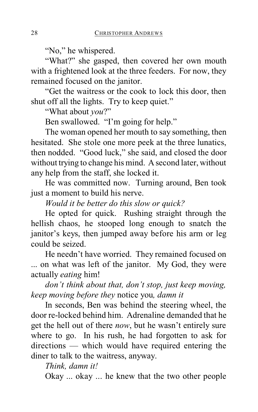"No," he whispered.

"What?" she gasped, then covered her own mouth with a frightened look at the three feeders. For now, they remained focused on the janitor.

"Get the waitress or the cook to lock this door, then shut off all the lights. Try to keep quiet."

"What about *you*?"

Ben swallowed. "I'm going for help."

The woman opened her mouth to say something, then hesitated. She stole one more peek at the three lunatics, then nodded. "Good luck," she said, and closed the door without trying to change his mind. A second later, without any help from the staff, she locked it.

He was committed now. Turning around, Ben took just a moment to build his nerve.

*Would it be better do this slow or quick?*

He opted for quick. Rushing straight through the hellish chaos, he stooped long enough to snatch the janitor's keys, then jumped away before his arm or leg could be seized.

He needn't have worried. They remained focused on ... on what was left of the janitor. My God, they were actually *eating* him!

*don't think about that, don't stop, just keep moving, keep moving before they* notice you*, damn it*

In seconds, Ben was behind the steering wheel, the door re-locked behind him. Adrenaline demanded that he get the hell out of there *now*, but he wasn't entirely sure where to go. In his rush, he had forgotten to ask for directions — which would have required entering the diner to talk to the waitress, anyway.

*Think, damn it!*

Okay ... okay ... he knew that the two other people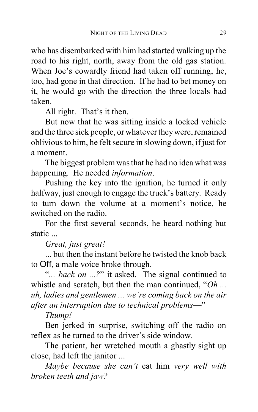who has disembarked with him had started walking up the road to his right, north, away from the old gas station. When Joe's cowardly friend had taken off running, he, too, had gone in that direction. If he had to bet money on it, he would go with the direction the three locals had taken.

All right. That's it then.

But now that he was sitting inside a locked vehicle and the three sick people, or whatever they were, remained oblivious to him, he felt secure in slowing down, if just for a moment.

The biggest problem wasthat he had no idea what was happening. He needed *information*.

Pushing the key into the ignition, he turned it only halfway, just enough to engage the truck's battery. Ready to turn down the volume at a moment's notice, he switched on the radio.

For the first several seconds, he heard nothing but static ...

*Great, just great!*

... but then the instant before he twisted the knob back to Off, a male voice broke through.

"*... back on ...?*" it asked. The signal continued to whistle and scratch, but then the man continued, "*Oh ... uh, ladies and gentlemen ... we're coming back on the air after an interruption due to technical problems*—"

*Thump!*

Ben jerked in surprise, switching off the radio on reflex as he turned to the driver's side window.

The patient, her wretched mouth a ghastly sight up close, had left the janitor ...

*Maybe because she can't* eat him *very well with broken teeth and jaw?*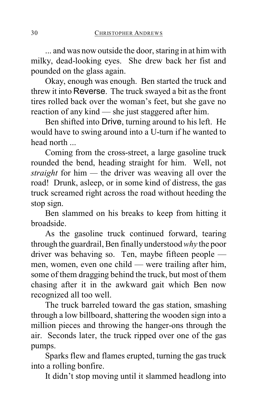... and was now outside the door, staring in at him with milky, dead-looking eyes. She drew back her fist and pounded on the glass again.

Okay, enough was enough. Ben started the truck and threw it into Reverse. The truck swayed a bit as the front tires rolled back over the woman's feet, but she gave no reaction of any kind — she just staggered after him.

Ben shifted into Drive, turning around to his left. He would have to swing around into a U-turn if he wanted to head north

Coming from the cross-street, a large gasoline truck rounded the bend, heading straight for him. Well, not *straight* for him *—* the driver was weaving all over the road! Drunk, asleep, or in some kind of distress, the gas truck screamed right across the road without heeding the stop sign.

Ben slammed on his breaks to keep from hitting it broadside.

As the gasoline truck continued forward, tearing through the guardrail, Ben finally understood *why* the poor driver was behaving so. Ten, maybe fifteen people men, women, even one child — were trailing after him, some of them dragging behind the truck, but most of them chasing after it in the awkward gait which Ben now recognized all too well.

The truck barreled toward the gas station, smashing through a low billboard, shattering the wooden sign into a million pieces and throwing the hanger-ons through the air. Seconds later, the truck ripped over one of the gas pumps.

Sparks flew and flames erupted, turning the gas truck into a rolling bonfire.

It didn't stop moving until it slammed headlong into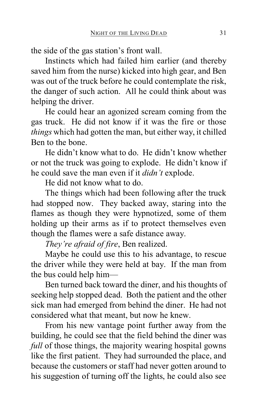the side of the gas station's front wall.

Instincts which had failed him earlier (and thereby saved him from the nurse) kicked into high gear, and Ben was out of the truck before he could contemplate the risk, the danger of such action. All he could think about was helping the driver.

He could hear an agonized scream coming from the gas truck. He did not know if it was the fire or those *things* which had gotten the man, but either way, it chilled Ben to the bone.

He didn't know what to do. He didn't know whether or not the truck was going to explode. He didn't know if he could save the man even if it *didn't* explode.

He did not know what to do.

The things which had been following after the truck had stopped now. They backed away, staring into the flames as though they were hypnotized, some of them holding up their arms as if to protect themselves even though the flames were a safe distance away.

*They're afraid of fire*, Ben realized.

Maybe he could use this to his advantage, to rescue the driver while they were held at bay. If the man from the bus could help him—

Ben turned back toward the diner, and his thoughts of seeking help stopped dead. Both the patient and the other sick man had emerged from behind the diner. He had not considered what that meant, but now he knew.

From his new vantage point further away from the building, he could see that the field behind the diner was *full* of those things, the majority wearing hospital gowns like the first patient. They had surrounded the place, and because the customers or staff had never gotten around to his suggestion of turning off the lights, he could also see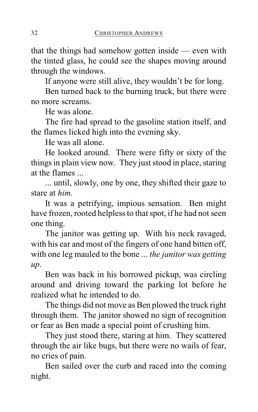that the things had somehow gotten inside — even with the tinted glass, he could see the shapes moving around through the windows.

If anyone were still alive, they wouldn't be for long.

Ben turned back to the burning truck, but there were no more screams.

He was alone.

The fire had spread to the gasoline station itself, and the flames licked high into the evening sky.

He was all alone.

He looked around. There were fifty or sixty of the things in plain view now. They just stood in place, staring at the flames ...

... until, slowly, one by one, they shifted their gaze to stare at *him*.

It was a petrifying, impious sensation. Ben might have frozen, rooted helpless to that spot, if he had not seen one thing.

The janitor was getting up. With his neck ravaged, with his ear and most of the fingers of one hand bitten off, with one leg mauled to the bone ... *the janitor was getting up*.

Ben was back in his borrowed pickup, was circling around and driving toward the parking lot before he realized what he intended to do.

The things did not move as Ben plowed the truck right through them. The janitor showed no sign of recognition or fear as Ben made a special point of crushing him.

They just stood there, staring at him. They scattered through the air like bugs, but there were no wails of fear, no cries of pain.

Ben sailed over the curb and raced into the coming night.